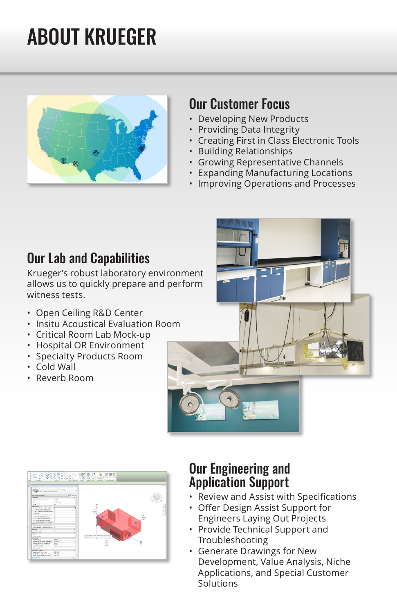# ABOUT KRUEGER



#### Our Customer Focus

- Developing New Products
- Providing Data Integrity
- Creating First in Class Electronic Tools
- Building Relationships
- Growing Representative Channels
- Expanding Manufacturing Locations
- Improving Operations and Processes

### Our Lab and Capabilities

Krueger's robust laboratory environment allows us to quickly prepare and perform witness tests.

- Open Ceiling R&D Center
- Insitu Acoustical Evaluation Room
- Critical Room Lab Mock-up
- Hospital OR Environment
- Specialty Products Room
- Cold Wall
- Reverb Room





#### Our Engineering and Application Support

- Review and Assist with Specifications
- Offer Design Assist Support for Engineers Laying Out Projects
- Provide Technical Support and Troubleshooting
- Generate Drawings for New Development, Value Analysis, Niche Applications, and Special Customer Solutions